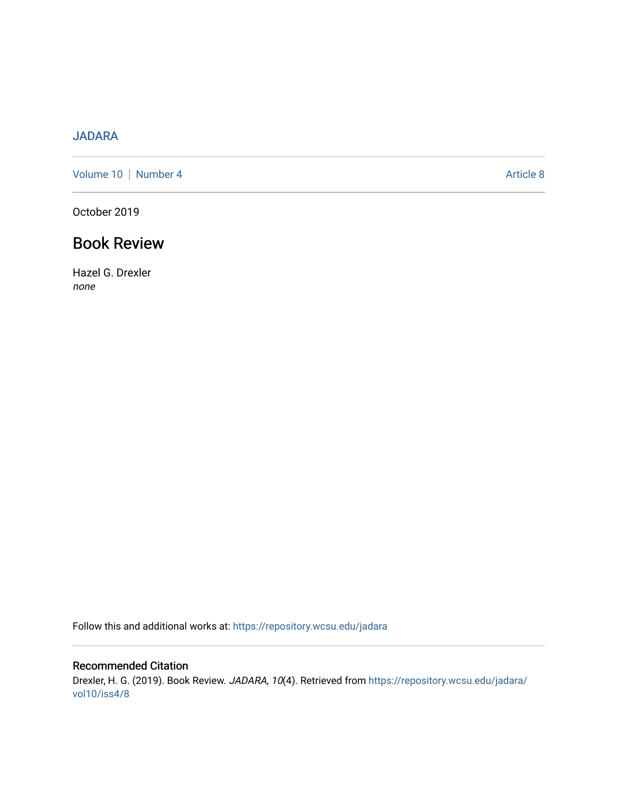## [JADARA](https://repository.wcsu.edu/jadara)

[Volume 10](https://repository.wcsu.edu/jadara/vol10) | [Number 4](https://repository.wcsu.edu/jadara/vol10/iss4) Article 8

October 2019

## Book Review

Hazel G. Drexler none

Follow this and additional works at: [https://repository.wcsu.edu/jadara](https://repository.wcsu.edu/jadara?utm_source=repository.wcsu.edu%2Fjadara%2Fvol10%2Fiss4%2F8&utm_medium=PDF&utm_campaign=PDFCoverPages)

Recommended Citation Drexler, H. G. (2019). Book Review. JADARA, 10(4). Retrieved from [https://repository.wcsu.edu/jadara/](https://repository.wcsu.edu/jadara/vol10/iss4/8?utm_source=repository.wcsu.edu%2Fjadara%2Fvol10%2Fiss4%2F8&utm_medium=PDF&utm_campaign=PDFCoverPages) [vol10/iss4/8](https://repository.wcsu.edu/jadara/vol10/iss4/8?utm_source=repository.wcsu.edu%2Fjadara%2Fvol10%2Fiss4%2F8&utm_medium=PDF&utm_campaign=PDFCoverPages)